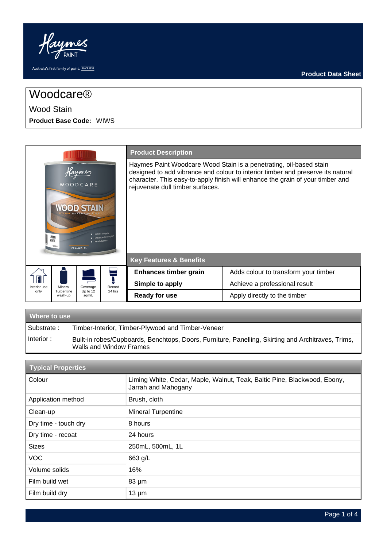

# Woodcare®

## Wood Stain

**Product Base Code:** WIWS

|                                                                                                                        |                       |                   |             | <b>Product Description</b>                                                                                                                                                                                                                                                  |                                      |
|------------------------------------------------------------------------------------------------------------------------|-----------------------|-------------------|-------------|-----------------------------------------------------------------------------------------------------------------------------------------------------------------------------------------------------------------------------------------------------------------------------|--------------------------------------|
| ume<br>WOODCARE<br>Simple to apply<br>LIMING<br>Enhances timber gra<br><b>WHITE</b><br>Ready for use<br>OIL-BASED / 1L |                       |                   |             | Haymes Paint Woodcare Wood Stain is a penetrating, oil-based stain<br>designed to add vibrance and colour to interior timber and preserve its natural<br>character. This easy-to-apply finish will enhance the grain of your timber and<br>rejuvenate dull timber surfaces. |                                      |
|                                                                                                                        |                       |                   |             | <b>Key Features &amp; Benefits</b>                                                                                                                                                                                                                                          |                                      |
|                                                                                                                        |                       |                   |             | Enhances timber grain                                                                                                                                                                                                                                                       | Adds colour to transform your timber |
| Interior use                                                                                                           | Mineral               | Coverage          | s<br>Recoat | Simple to apply                                                                                                                                                                                                                                                             | Achieve a professional result        |
| only                                                                                                                   | Turpentine<br>wash-up | Up to 12<br>sqm/L | 24 hrs      | <b>Ready for use</b>                                                                                                                                                                                                                                                        | Apply directly to the timber         |

| <b>Where to use</b> |                                                                                                                               |  |  |  |  |  |
|---------------------|-------------------------------------------------------------------------------------------------------------------------------|--|--|--|--|--|
| Substrate:          | Timber-Interior, Timber-Plywood and Timber-Veneer                                                                             |  |  |  |  |  |
| Interior:           | Built-in robes/Cupboards, Benchtops, Doors, Furniture, Panelling, Skirting and Architraves, Trims,<br>Walls and Window Frames |  |  |  |  |  |

| <b>Typical Properties</b> |                                                                                                 |  |  |  |
|---------------------------|-------------------------------------------------------------------------------------------------|--|--|--|
| Colour                    | Liming White, Cedar, Maple, Walnut, Teak, Baltic Pine, Blackwood, Ebony,<br>Jarrah and Mahogany |  |  |  |
| Application method        | Brush, cloth                                                                                    |  |  |  |
| Clean-up                  | Mineral Turpentine                                                                              |  |  |  |
| Dry time - touch dry      | 8 hours                                                                                         |  |  |  |
| Dry time - recoat         | 24 hours                                                                                        |  |  |  |
| <b>Sizes</b>              | 250mL, 500mL, 1L                                                                                |  |  |  |
| <b>VOC</b>                | 663 g/L                                                                                         |  |  |  |
| Volume solids             | 16%                                                                                             |  |  |  |
| Film build wet            | $83 \mu m$                                                                                      |  |  |  |
| Film build dry            | $13 \mu m$                                                                                      |  |  |  |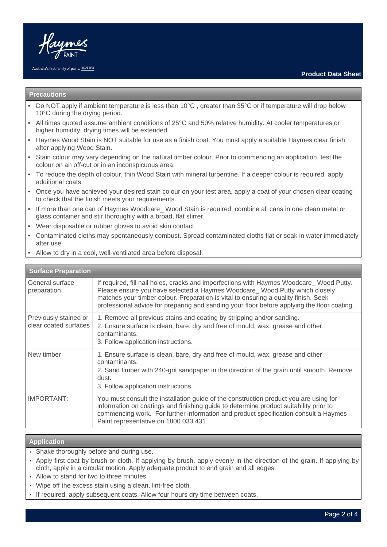

#### Australia's first family of paint. SINCE 1935

#### **Precautions**

- Do NOT apply if ambient temperature is less than 10°C , greater than 35°C or if temperature will drop below 10°C during the drying period.
- All times quoted assume ambient conditions of 25°C and 50% relative humidity. At cooler temperatures or higher humidity, drying times will be extended.
- Haymes Wood Stain is NOT suitable for use as a finish coat. You must apply a suitable Haymes clear finish after applying Wood Stain.
- Stain colour may vary depending on the natural timber colour. Prior to commencing an application, test the colour on an off-cut or in an inconspicuous area.
- To reduce the depth of colour, thin Wood Stain with mineral turpentine. If a deeper colour is required, apply additional coats.
- Once you have achieved your desired stain colour on your test area, apply a coat of your chosen clear coating to check that the finish meets your requirements.
- If more than one can of Haymes Woodcare Wood Stain is required, combine all cans in one clean metal or glass container and stir thoroughly with a broad, flat stirrer.
- Wear disposable or rubber gloves to avoid skin contact.
- Contaminated cloths may spontaneously combust. Spread contaminated cloths flat or soak in water immediately after use.
- Allow to dry in a cool, well-ventilated area before disposal.

#### **Surface Preparation** General surface preparation If required, fill nail holes, cracks and imperfections with Haymes Woodcare Wood Putty. Please ensure you have selected a Haymes Woodcare Wood Putty which closely matches your timber colour. Preparation is vital to ensuring a quality finish. Seek professional advice for preparing and sanding your floor before applying the floor coating. Previously stained or clear coated surfaces 1. Remove all previous stains and coating by stripping and/or sanding. 2. Ensure surface is clean, bare, dry and free of mould, wax, grease and other contaminants. 3. Follow application instructions. New timber 1. Ensure surface is clean, bare, dry and free of mould, wax, grease and other contaminants. 2. Sand timber with 240-grit sandpaper in the direction of the grain until smooth. Remove dust. 3. Follow application instructions. IMPORTANT: You must consult the installation guide of the construction product you are using for information on coatings and finishing guide to determine product suitability prior to commencing work. For further information and product specification consult a Haymes Paint representative on 1800 033 431.

#### **Application**

- Shake thoroughly before and during use.
- Apply first coat by brush or cloth. If applying by brush, apply evenly in the direction of the grain. If applying by cloth, apply in a circular motion. Apply adequate product to end grain and all edges.
- Allow to stand for two to three minutes.
- Wipe off the excess stain using a clean, lint-free cloth.
- If required, apply subsequent coats. Allow four hours dry time between coats.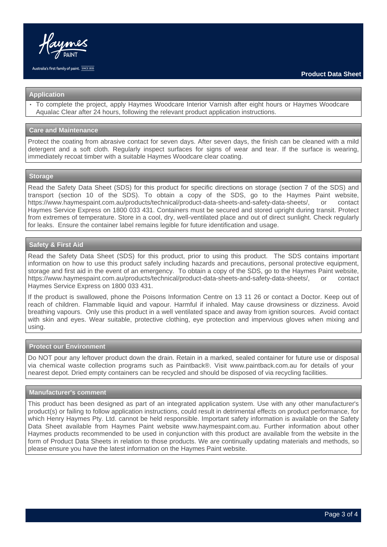

#### **Application**

• To complete the project, apply Haymes Woodcare Interior Varnish after eight hours or Haymes Woodcare Aqualac Clear after 24 hours, following the relevant product application instructions.

#### **Care and Maintenance**

Protect the coating from abrasive contact for seven days. After seven days, the finish can be cleaned with a mild detergent and a soft cloth. Regularly inspect surfaces for signs of wear and tear. If the surface is wearing, immediately recoat timber with a suitable Haymes Woodcare clear coating.

#### **Storage**

Read the Safety Data Sheet (SDS) for this product for specific directions on storage (section 7 of the SDS) and transport (section 10 of the SDS). To obtain a copy of the SDS, go to the Haymes Paint website, https://www.haymespaint.com.au/products/technical/product-data-sheets-and-safety-data-sheets/, or contact Haymes Service Express on 1800 033 431. Containers must be secured and stored upright during transit. Protect from extremes of temperature. Store in a cool, dry, well-ventilated place and out of direct sunlight. Check regularly for leaks. Ensure the container label remains legible for future identification and usage.

## **Safety & First Aid**

Read the Safety Data Sheet (SDS) for this product, prior to using this product. The SDS contains important information on how to use this product safely including hazards and precautions, personal protective equipment, storage and first aid in the event of an emergency. To obtain a copy of the SDS, go to the Haymes Paint website, https://www.haymespaint.com.au/products/technical/product-data-sheets-and-safety-data-sheets/, or contact Haymes Service Express on 1800 033 431.

If the product is swallowed, phone the Poisons Information Centre on 13 11 26 or contact a Doctor. Keep out of reach of children. Flammable liquid and vapour. Harmful if inhaled. May cause drowsiness or dizziness. Avoid breathing vapours. Only use this product in a well ventilated space and away from ignition sources. Avoid contact with skin and eyes. Wear suitable, protective clothing, eye protection and impervious gloves when mixing and using.

#### **Protect our Environment**

Do NOT pour any leftover product down the drain. Retain in a marked, sealed container for future use or disposal via chemical waste collection programs such as Paintback®. Visit www.paintback.com.au for details of your nearest depot. Dried empty containers can be recycled and should be disposed of via recycling facilities.

#### **Manufacturer's comment**

This product has been designed as part of an integrated application system. Use with any other manufacturer's product(s) or failing to follow application instructions, could result in detrimental effects on product performance, for which Henry Haymes Pty. Ltd. cannot be held responsible. Important safety information is available on the Safety Data Sheet available from Haymes Paint website www.haymespaint.com.au. Further information about other Haymes products recommended to be used in conjunction with this product are available from the website in the form of Product Data Sheets in relation to those products. We are continually updating materials and methods, so please ensure you have the latest information on the Haymes Paint website.